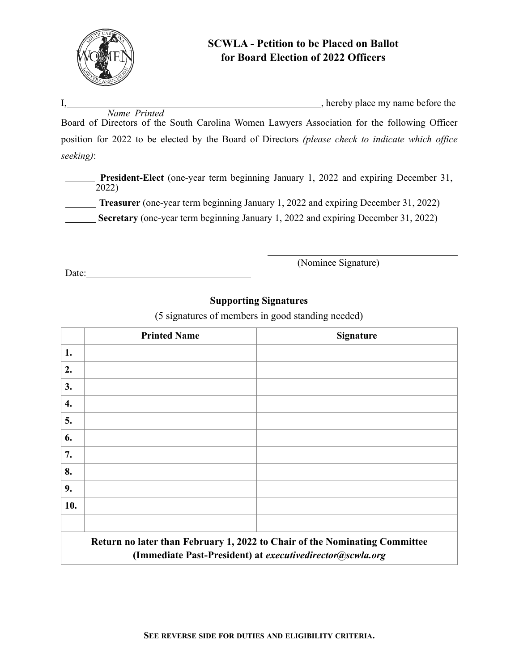

# **SCWLA - Petition to be Placed on Ballot for Board Election of 2022 Officers**

I, hereby place my name before the

 *Name Printed* Board of Directors of the South Carolina Women Lawyers Association for the following Officer position for 2022 to be elected by the Board of Directors *(please check to indicate which office seeking)*:

**President-Elect** (one-year term beginning January 1, 2022 and expiring December 31, 2022)

**Treasurer** (one-year term beginning January 1, 2022 and expiring December 31, 2022)

**Secretary** (one-year term beginning January 1, 2022 and expiring December 31, 2022)

Date:

(Nominee Signature)

## **Supporting Signatures**

(5 signatures of members in good standing needed)

|                                                                                                                                         | <b>Printed Name</b> | <b>Signature</b> |
|-----------------------------------------------------------------------------------------------------------------------------------------|---------------------|------------------|
| 1.                                                                                                                                      |                     |                  |
| 2.                                                                                                                                      |                     |                  |
| 3.                                                                                                                                      |                     |                  |
| 4.                                                                                                                                      |                     |                  |
| 5.                                                                                                                                      |                     |                  |
| 6.                                                                                                                                      |                     |                  |
| 7.                                                                                                                                      |                     |                  |
| 8.                                                                                                                                      |                     |                  |
| 9.                                                                                                                                      |                     |                  |
| 10.                                                                                                                                     |                     |                  |
|                                                                                                                                         |                     |                  |
| Return no later than February 1, 2022 to Chair of the Nominating Committee<br>(Immediate Past-President) at executivedirector@scwla.org |                     |                  |